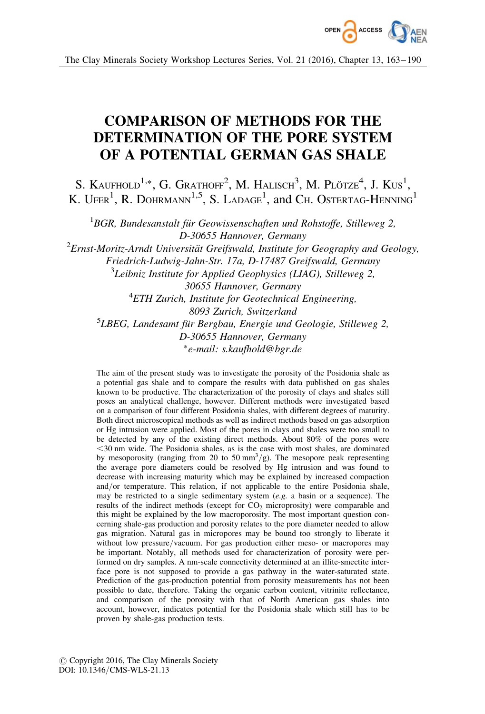

# COMPARISON OF METHODS FOR THE DETERMINATION OF THE PORE SYSTEM OF A POTENTIAL GERMAN GAS SHALE

S. KAUFHOLD<sup>1,\*</sup>, G. Grathoff<sup>2</sup>, M. Halisch<sup>3</sup>, M. Plötze<sup>4</sup>, J. Kus<sup>1</sup>, K. Ufer<sup>1</sup>, R. Dohrmann<sup>1,5</sup>, S. Ladage<sup>1</sup>, and Ch. Ostertag-Henning<sup>1</sup>

 ${}^{1}$ BGR, Bundesanstalt für Geowissenschaften und Rohstoffe, Stilleweg 2, D-30655 Hannover, Germany  ${}^{2}E$ rnst-Moritz-Arndt Universität Greifswald, Institute for Geography and Geology, Friedrich-Ludwig-Jahn-Str. 17a, D-17487 Greifswald, Germany  ${}^{3}$ Leibniz Institute for Applied Geophysics (LIAG), Stilleweg 2, 30655 Hannover, Germany  ${}^{4}$ ETH Zurich, Institute for Geotechnical Engineering, 8093 Zurich, Switzerland  ${}^{5}$ LBEG, Landesamt für Bergbau, Energie und Geologie, Stilleweg 2, D-30655 Hannover, Germany -e-mail: s.kaufhold@bgr.de

The aim of the present study was to investigate the porosity of the Posidonia shale as a potential gas shale and to compare the results with data published on gas shales known to be productive. The characterization of the porosity of clays and shales still poses an analytical challenge, however. Different methods were investigated based on a comparison of four different Posidonia shales, with different degrees of maturity. Both direct microscopical methods as well as indirect methods based on gas adsorption or Hg intrusion were applied. Most of the pores in clays and shales were too small to be detected by any of the existing direct methods. About 80% of the pores were  $<$ 30 nm wide. The Posidonia shales, as is the case with most shales, are dominated by mesoporosity (ranging from 20 to 50 mm<sup>3</sup>/g). The mesopore peak representing the average pore diameters could be resolved by Hg intrusion and was found to decrease with increasing maturity which may be explained by increased compaction and/or temperature. This relation, if not applicable to the entire Posidonia shale, may be restricted to a single sedimentary system (e.g. a basin or a sequence). The results of the indirect methods (except for  $CO<sub>2</sub>$  microprosity) were comparable and this might be explained by the low macroporosity. The most important question concerning shale-gas production and porosity relates to the pore diameter needed to allow gas migration. Natural gas in micropores may be bound too strongly to liberate it without low pressure/vacuum. For gas production either meso- or macropores may be important. Notably, all methods used for characterization of porosity were performed on dry samples. A nm-scale connectivity determined at an illite-smectite interface pore is not supposed to provide a gas pathway in the water-saturated state. Prediction of the gas-production potential from porosity measurements has not been possible to date, therefore. Taking the organic carbon content, vitrinite reflectance, and comparison of the porosity with that of North American gas shales into account, however, indicates potential for the Posidonia shale which still has to be proven by shale-gas production tests.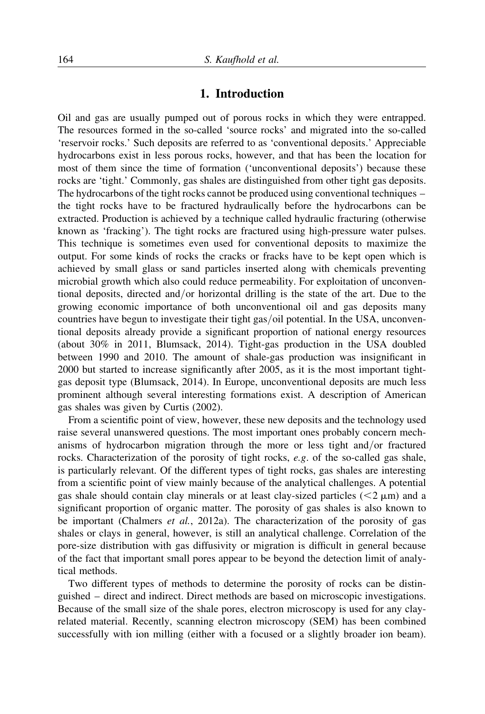## 1. Introduction

Oil and gas are usually pumped out of porous rocks in which they were entrapped. The resources formed in the so-called 'source rocks' and migrated into the so-called 'reservoir rocks.' Such deposits are referred to as 'conventional deposits.' Appreciable hydrocarbons exist in less porous rocks, however, and that has been the location for most of them since the time of formation ('unconventional deposits') because these rocks are 'tight.' Commonly, gas shales are distinguished from other tight gas deposits. The hydrocarbons of the tight rocks cannot be produced using conventional techniques – the tight rocks have to be fractured hydraulically before the hydrocarbons can be extracted. Production is achieved by a technique called hydraulic fracturing (otherwise known as 'fracking'). The tight rocks are fractured using high-pressure water pulses. This technique is sometimes even used for conventional deposits to maximize the output. For some kinds of rocks the cracks or fracks have to be kept open which is achieved by small glass or sand particles inserted along with chemicals preventing microbial growth which also could reduce permeability. For exploitation of unconventional deposits, directed and/or horizontal drilling is the state of the art. Due to the growing economic importance of both unconventional oil and gas deposits many countries have begun to investigate their tight gas/oil potential. In the USA, unconventional deposits already provide a significant proportion of national energy resources (about 30% in 2011, Blumsack, 2014). Tight-gas production in the USA doubled between 1990 and 2010. The amount of shale-gas production was insignificant in 2000 but started to increase significantly after 2005, as it is the most important tightgas deposit type (Blumsack, 2014). In Europe, unconventional deposits are much less prominent although several interesting formations exist. A description of American gas shales was given by Curtis (2002).

From a scientific point of view, however, these new deposits and the technology used raise several unanswered questions. The most important ones probably concern mechanisms of hydrocarbon migration through the more or less tight and/or fractured rocks. Characterization of the porosity of tight rocks, e.g. of the so-called gas shale, is particularly relevant. Of the different types of tight rocks, gas shales are interesting from a scientific point of view mainly because of the analytical challenges. A potential gas shale should contain clay minerals or at least clay-sized particles  $(< 2 \mu m$ ) and a significant proportion of organic matter. The porosity of gas shales is also known to be important (Chalmers *et al.*, 2012a). The characterization of the porosity of gas shales or clays in general, however, is still an analytical challenge. Correlation of the pore-size distribution with gas diffusivity or migration is difficult in general because of the fact that important small pores appear to be beyond the detection limit of analytical methods.

Two different types of methods to determine the porosity of rocks can be distinguished – direct and indirect. Direct methods are based on microscopic investigations. Because of the small size of the shale pores, electron microscopy is used for any clayrelated material. Recently, scanning electron microscopy (SEM) has been combined successfully with ion milling (either with a focused or a slightly broader ion beam).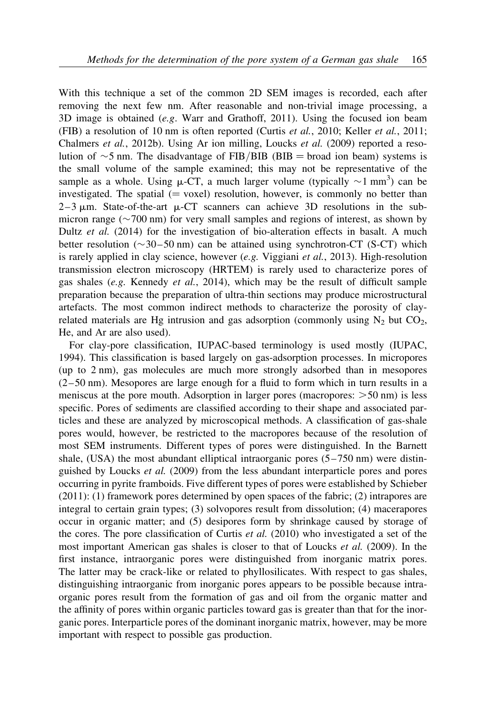With this technique a set of the common 2D SEM images is recorded, each after removing the next few nm. After reasonable and non-trivial image processing, a 3D image is obtained (e.g. Warr and Grathoff, 2011). Using the focused ion beam (FIB) a resolution of 10 nm is often reported (Curtis et al., 2010; Keller et al., 2011; Chalmers et al., 2012b). Using Ar ion milling, Loucks et al. (2009) reported a resolution of  $\sim$ 5 nm. The disadvantage of FIB/BIB (BIB = broad ion beam) systems is the small volume of the sample examined; this may not be representative of the sample as a whole. Using  $\mu$ -CT, a much larger volume (typically  $\sim$ 1 mm<sup>3</sup>) can be investigated. The spatial  $(=$  voxel) resolution, however, is commonly no better than  $2-3 \mu$ m. State-of-the-art  $\mu$ -CT scanners can achieve 3D resolutions in the submicron range  $(\sim 700 \text{ nm})$  for very small samples and regions of interest, as shown by Dultz et al.  $(2014)$  for the investigation of bio-alteration effects in basalt. A much better resolution  $(\sim]30-50 \text{ nm})$  can be attained using synchrotron-CT (S-CT) which is rarely applied in clay science, however  $(e.g.$  Viggiani  $et al., 2013$ ). High-resolution transmission electron microscopy (HRTEM) is rarely used to characterize pores of gas shales (e.g. Kennedy et al., 2014), which may be the result of difficult sample preparation because the preparation of ultra-thin sections may produce microstructural artefacts. The most common indirect methods to characterize the porosity of clayrelated materials are Hg intrusion and gas adsorption (commonly using  $N_2$  but  $CO_2$ , He, and Ar are also used).

For clay-pore classification, IUPAC-based terminology is used mostly (IUPAC, 1994). This classification is based largely on gas-adsorption processes. In micropores (up to 2 nm), gas molecules are much more strongly adsorbed than in mesopores (2–50 nm). Mesopores are large enough for a fluid to form which in turn results in a meniscus at the pore mouth. Adsorption in larger pores (macropores:  $> 50$  nm) is less specific. Pores of sediments are classified according to their shape and associated particles and these are analyzed by microscopical methods. A classification of gas-shale pores would, however, be restricted to the macropores because of the resolution of most SEM instruments. Different types of pores were distinguished. In the Barnett shale, (USA) the most abundant elliptical intraorganic pores (5–750 nm) were distinguished by Loucks et al. (2009) from the less abundant interparticle pores and pores occurring in pyrite framboids. Five different types of pores were established by Schieber (2011): (1) framework pores determined by open spaces of the fabric; (2) intrapores are integral to certain grain types; (3) solvopores result from dissolution; (4) macerapores occur in organic matter; and (5) desipores form by shrinkage caused by storage of the cores. The pore classification of Curtis *et al.* (2010) who investigated a set of the most important American gas shales is closer to that of Loucks et al. (2009). In the first instance, intraorganic pores were distinguished from inorganic matrix pores. The latter may be crack-like or related to phyllosilicates. With respect to gas shales, distinguishing intraorganic from inorganic pores appears to be possible because intraorganic pores result from the formation of gas and oil from the organic matter and the affinity of pores within organic particles toward gas is greater than that for the inorganic pores. Interparticle pores of the dominant inorganic matrix, however, may be more important with respect to possible gas production.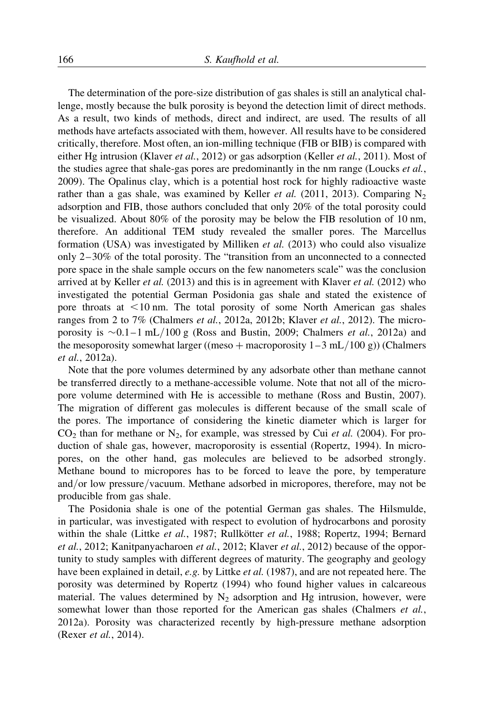The determination of the pore-size distribution of gas shales is still an analytical challenge, mostly because the bulk porosity is beyond the detection limit of direct methods. As a result, two kinds of methods, direct and indirect, are used. The results of all methods have artefacts associated with them, however. All results have to be considered critically, therefore. Most often, an ion-milling technique (FIB or BIB) is compared with either Hg intrusion (Klaver et al., 2012) or gas adsorption (Keller et al., 2011). Most of the studies agree that shale-gas pores are predominantly in the nm range (Loucks *et al.*, 2009). The Opalinus clay, which is a potential host rock for highly radioactive waste rather than a gas shale, was examined by Keller *et al.* (2011, 2013). Comparing N<sub>2</sub> adsorption and FIB, those authors concluded that only 20% of the total porosity could be visualized. About 80% of the porosity may be below the FIB resolution of 10 nm, therefore. An additional TEM study revealed the smaller pores. The Marcellus formation (USA) was investigated by Milliken et al. (2013) who could also visualize only  $2-30\%$  of the total porosity. The "transition from an unconnected to a connected pore space in the shale sample occurs on the few nanometers scale" was the conclusion arrived at by Keller *et al.* (2013) and this is in agreement with Klaver *et al.* (2012) who investigated the potential German Posidonia gas shale and stated the existence of pore throats at  $\leq 10$  nm. The total porosity of some North American gas shales ranges from 2 to 7% (Chalmers et al., 2012a, 2012b; Klaver et al., 2012). The microporosity is  $\sim$  0.1–1 mL/100 g (Ross and Bustin, 2009; Chalmers *et al.*, 2012a) and the mesoporosity somewhat larger ((meso  $+$  macroporosity  $1-3$  mL/100 g)) (Chalmers et al., 2012a).

Note that the pore volumes determined by any adsorbate other than methane cannot be transferred directly to a methane-accessible volume. Note that not all of the micropore volume determined with He is accessible to methane (Ross and Bustin, 2007). The migration of different gas molecules is different because of the small scale of the pores. The importance of considering the kinetic diameter which is larger for  $CO<sub>2</sub>$  than for methane or  $N<sub>2</sub>$ , for example, was stressed by Cui et al. (2004). For production of shale gas, however, macroporosity is essential (Ropertz, 1994). In micropores, on the other hand, gas molecules are believed to be adsorbed strongly. Methane bound to micropores has to be forced to leave the pore, by temperature and/or low pressure/vacuum. Methane adsorbed in micropores, therefore, may not be producible from gas shale.

The Posidonia shale is one of the potential German gas shales. The Hilsmulde, in particular, was investigated with respect to evolution of hydrocarbons and porosity within the shale (Littke *et al.*, 1987; Rullkötter *et al.*, 1988; Ropertz, 1994; Bernard et al., 2012; Kanitpanyacharoen et al., 2012; Klaver et al., 2012) because of the opportunity to study samples with different degrees of maturity. The geography and geology have been explained in detail, e.g. by Littke et al. (1987), and are not repeated here. The porosity was determined by Ropertz (1994) who found higher values in calcareous material. The values determined by  $N<sub>2</sub>$  adsorption and Hg intrusion, however, were somewhat lower than those reported for the American gas shales (Chalmers *et al.*, 2012a). Porosity was characterized recently by high-pressure methane adsorption (Rexer et al., 2014).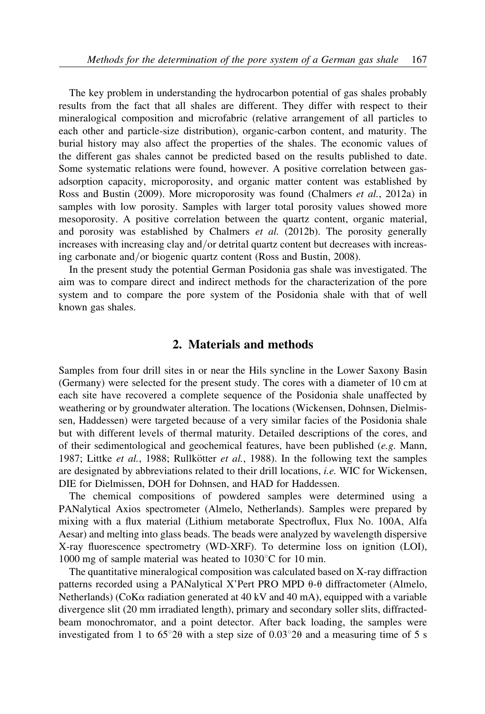The key problem in understanding the hydrocarbon potential of gas shales probably results from the fact that all shales are different. They differ with respect to their mineralogical composition and microfabric (relative arrangement of all particles to each other and particle-size distribution), organic-carbon content, and maturity. The burial history may also affect the properties of the shales. The economic values of the different gas shales cannot be predicted based on the results published to date. Some systematic relations were found, however. A positive correlation between gasadsorption capacity, microporosity, and organic matter content was established by Ross and Bustin (2009). More microporosity was found (Chalmers et al., 2012a) in samples with low porosity. Samples with larger total porosity values showed more mesoporosity. A positive correlation between the quartz content, organic material, and porosity was established by Chalmers et al. (2012b). The porosity generally increases with increasing clay and/or detrital quartz content but decreases with increasing carbonate and/or biogenic quartz content (Ross and Bustin, 2008).

In the present study the potential German Posidonia gas shale was investigated. The aim was to compare direct and indirect methods for the characterization of the pore system and to compare the pore system of the Posidonia shale with that of well known gas shales.

# 2. Materials and methods

Samples from four drill sites in or near the Hils syncline in the Lower Saxony Basin (Germany) were selected for the present study. The cores with a diameter of 10 cm at each site have recovered a complete sequence of the Posidonia shale unaffected by weathering or by groundwater alteration. The locations (Wickensen, Dohnsen, Dielmissen, Haddessen) were targeted because of a very similar facies of the Posidonia shale but with different levels of thermal maturity. Detailed descriptions of the cores, and of their sedimentological and geochemical features, have been published (e.g. Mann, 1987; Littke *et al.*, 1988; Rullkötter *et al.*, 1988). In the following text the samples are designated by abbreviations related to their drill locations, i.e. WIC for Wickensen, DIE for Dielmissen, DOH for Dohnsen, and HAD for Haddessen.

The chemical compositions of powdered samples were determined using a PANalytical Axios spectrometer (Almelo, Netherlands). Samples were prepared by mixing with a flux material (Lithium metaborate Spectroflux, Flux No. 100A, Alfa Aesar) and melting into glass beads. The beads were analyzed by wavelength dispersive X-ray fluorescence spectrometry (WD-XRF). To determine loss on ignition (LOI), 1000 mg of sample material was heated to  $1030^{\circ}$ C for 10 min.

The quantitative mineralogical composition was calculated based on X-ray diffraction patterns recorded using a PANalytical X'Pert PRO MPD  $\theta$ - $\theta$  diffractometer (Almelo, Netherlands) (CoK $\alpha$  radiation generated at 40 kV and 40 mA), equipped with a variable divergence slit (20 mm irradiated length), primary and secondary soller slits, diffractedbeam monochromator, and a point detector. After back loading, the samples were investigated from 1 to  $65^{\circ}2\theta$  with a step size of  $0.03^{\circ}2\theta$  and a measuring time of 5 s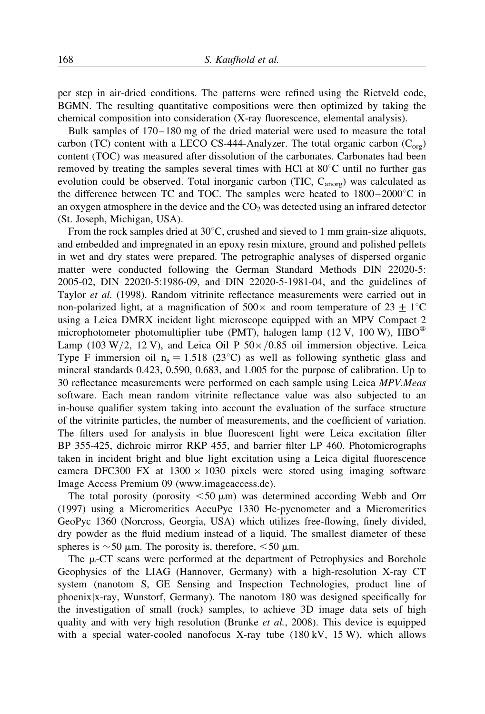per step in air-dried conditions. The patterns were refined using the Rietveld code, BGMN. The resulting quantitative compositions were then optimized by taking the chemical composition into consideration (X-ray fluorescence, elemental analysis).

Bulk samples of 170–180 mg of the dried material were used to measure the total carbon (TC) content with a LECO CS-444-Analyzer. The total organic carbon ( $C_{\text{org}}$ ) content (TOC) was measured after dissolution of the carbonates. Carbonates had been removed by treating the samples several times with HCl at  $80^{\circ}$ C until no further gas evolution could be observed. Total inorganic carbon (TIC,  $C_{\text{anorp}}$ ) was calculated as the difference between TC and TOC. The samples were heated to  $1800-2000^{\circ}$ C in an oxygen atmosphere in the device and the  $CO<sub>2</sub>$  was detected using an infrared detector (St. Joseph, Michigan, USA).

From the rock samples dried at  $30^{\circ}$ C, crushed and sieved to 1 mm grain-size aliquots, and embedded and impregnated in an epoxy resin mixture, ground and polished pellets in wet and dry states were prepared. The petrographic analyses of dispersed organic matter were conducted following the German Standard Methods DIN 22020-5: 2005-02, DIN 22020-5:1986-09, and DIN 22020-5-1981-04, and the guidelines of Taylor et al. (1998). Random vitrinite reflectance measurements were carried out in non-polarized light, at a magnification of  $500\times$  and room temperature of  $23 \pm 1^\circ\text{C}$ using a Leica DMRX incident light microscope equipped with an MPV Compact 2 microphotometer photomultiplier tube (PMT), halogen lamp (12 V, 100 W),  $HBO^{\circledR}$ Lamp (103 W/2, 12 V), and Leica Oil P  $50 \times /0.85$  oil immersion objective. Leica Type F immersion oil  $n_e = 1.518$  (23°C) as well as following synthetic glass and mineral standards 0.423, 0.590, 0.683, and 1.005 for the purpose of calibration. Up to 30 reflectance measurements were performed on each sample using Leica MPV.Meas software. Each mean random vitrinite reflectance value was also subjected to an in-house qualifier system taking into account the evaluation of the surface structure of the vitrinite particles, the number of measurements, and the coefficient of variation. The filters used for analysis in blue fluorescent light were Leica excitation filter BP 355-425, dichroic mirror RKP 455, and barrier filter LP 460. Photomicrographs taken in incident bright and blue light excitation using a Leica digital fluorescence camera DFC300 FX at  $1300 \times 1030$  pixels were stored using imaging software Image Access Premium 09 (www.imageaccess.de).

The total porosity (porosity  $\leq 50 \mu m$ ) was determined according Webb and Orr (1997) using a Micromeritics AccuPyc 1330 He-pycnometer and a Micromeritics GeoPyc 1360 (Norcross, Georgia, USA) which utilizes free-flowing, finely divided, dry powder as the fluid medium instead of a liquid. The smallest diameter of these spheres is  $\sim$  50  $\mu$ m. The porosity is, therefore, <50  $\mu$ m.

The  $\mu$ -CT scans were performed at the department of Petrophysics and Borehole Geophysics of the LIAG (Hannover, Germany) with a high-resolution X-ray CT system (nanotom S, GE Sensing and Inspection Technologies, product line of phoenixjx-ray, Wunstorf, Germany). The nanotom 180 was designed specifically for the investigation of small (rock) samples, to achieve 3D image data sets of high quality and with very high resolution (Brunke *et al.*, 2008). This device is equipped with a special water-cooled nanofocus X-ray tube  $(180 \text{ kV}, 15 \text{ W})$ , which allows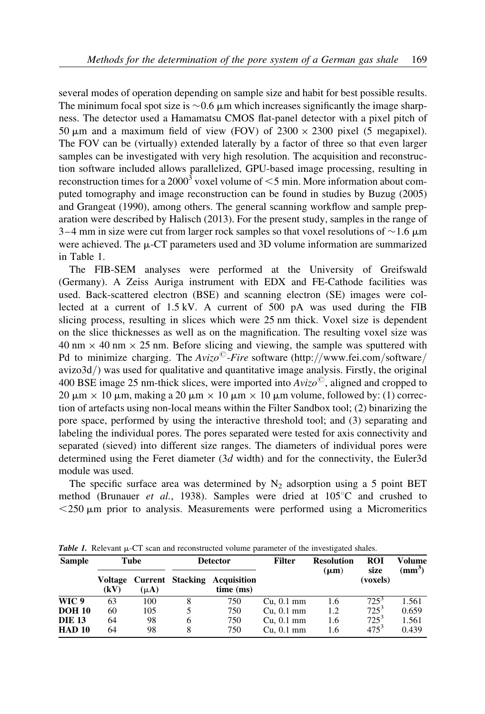several modes of operation depending on sample size and habit for best possible results. The minimum focal spot size is  $\sim$  0.6  $\mu$ m which increases significantly the image sharpness. The detector used a Hamamatsu CMOS flat-panel detector with a pixel pitch of 50  $\mu$ m and a maximum field of view (FOV) of 2300  $\times$  2300 pixel (5 megapixel). The FOV can be (virtually) extended laterally by a factor of three so that even larger samples can be investigated with very high resolution. The acquisition and reconstruction software included allows parallelized, GPU-based image processing, resulting in reconstruction times for a 2000<sup>3</sup> voxel volume of  $\leq$  5 min. More information about computed tomography and image reconstruction can be found in studies by Buzug (2005) and Grangeat (1990), among others. The general scanning workflow and sample preparation were described by Halisch (2013). For the present study, samples in the range of 3–4 mm in size were cut from larger rock samples so that voxel resolutions of  $\sim$  1.6  $\mu$ m were achieved. The  $\mu$ -CT parameters used and 3D volume information are summarized in Table 1.

The FIB-SEM analyses were performed at the University of Greifswald (Germany). A Zeiss Auriga instrument with EDX and FE-Cathode facilities was used. Back-scattered electron (BSE) and scanning electron (SE) images were collected at a current of  $1.5 \text{ kV}$ . A current of  $500 \text{ pA}$  was used during the FIB slicing process, resulting in slices which were 25 nm thick. Voxel size is dependent on the slice thicknesses as well as on the magnification. The resulting voxel size was  $40 \text{ nm} \times 40 \text{ nm} \times 25 \text{ nm}$ . Before slicing and viewing, the sample was sputtered with Pd to minimize charging. The  $Avizo^{\odot}$ -Fire software (http://www.fei.com/software/  $a\text{vizo3d}$ ) was used for qualitative and quantitative image analysis. Firstly, the original 400 BSE image 25 nm-thick slices, were imported into  $Avizo^{\circ}$ , aligned and cropped to  $20 \mu m \times 10 \mu m$ , making a  $20 \mu m \times 10 \mu m \times 10 \mu m$  volume, followed by: (1) correction of artefacts using non-local means within the Filter Sandbox tool; (2) binarizing the pore space, performed by using the interactive threshold tool; and (3) separating and labeling the individual pores. The pores separated were tested for axis connectivity and separated (sieved) into different size ranges. The diameters of individual pores were determined using the Feret diameter  $(3d \text{ width})$  and for the connectivity, the Euler3d module was used.

The specific surface area was determined by  $N_2$  adsorption using a 5 point BET method (Brunauer *et al.*, 1938). Samples were dried at  $105^{\circ}$ C and crushed to  $<$  250  $\mu$ m prior to analysis. Measurements were performed using a Micromeritics

| <b>Sample</b> |                 | Tube      |                         | <b>Detector</b>          | <b>Filter</b> | <b>Resolution</b><br>$(\mu m)$ | <b>ROI</b><br>size | Volume<br>(mm <sup>3</sup> ) |  |
|---------------|-----------------|-----------|-------------------------|--------------------------|---------------|--------------------------------|--------------------|------------------------------|--|
|               | Voltage<br>(kV) | $(\mu A)$ | <b>Current Stacking</b> | Acquisition<br>time (ms) |               |                                | (voxels)           |                              |  |
| WIC 9         | 63              | 100       |                         | 750                      | Cu. 0.1 mm    | 1.6                            | $72.5^{3}$         | 1.561                        |  |
| <b>DOH 10</b> | 60              | 105       |                         | 750                      | Cu. 0.1 mm    | 1.2                            | $72.5^3$           | 0.659                        |  |
| <b>DIE 13</b> | 64              | 98        | 6                       | 750                      | $Cu, 0.1$ mm  | 1.6                            | $725^3$            | 1.561                        |  |
| HAD 10        | 64              | 98        | 8                       | 750                      | Cu. 0.1 mm    | 1.6                            | $475^3$            | 0.439                        |  |

**Table 1.** Relevant u-CT scan and reconstructed volume parameter of the investigated shales.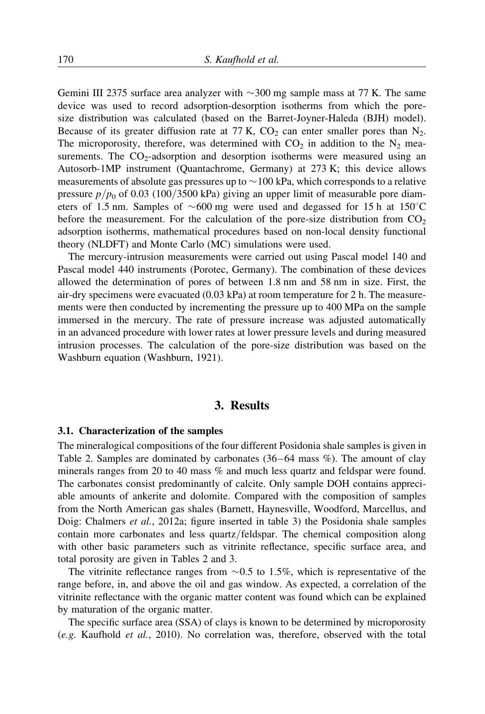Gemini III 2375 surface area analyzer with  $\sim$ 300 mg sample mass at 77 K. The same device was used to record adsorption-desorption isotherms from which the poresize distribution was calculated (based on the Barret-Joyner-Haleda (BJH) model). Because of its greater diffusion rate at 77 K,  $CO<sub>2</sub>$  can enter smaller pores than  $N<sub>2</sub>$ . The microporosity, therefore, was determined with  $CO<sub>2</sub>$  in addition to the N<sub>2</sub> measurements. The  $CO<sub>2</sub>$ -adsorption and desorption isotherms were measured using an Autosorb-1MP instrument (Quantachrome, Germany) at 273 K; this device allows measurements of absolute gas pressures up to  $\sim$  100 kPa, which corresponds to a relative pressure  $p/p_0$  of 0.03 (100/3500 kPa) giving an upper limit of measurable pore diameters of 1.5 nm. Samples of  $\sim 600$  mg were used and degassed for 15 h at 150 $^{\circ}$ C before the measurement. For the calculation of the pore-size distribution from  $CO<sub>2</sub>$ adsorption isotherms, mathematical procedures based on non-local density functional theory (NLDFT) and Monte Carlo (MC) simulations were used.

The mercury-intrusion measurements were carried out using Pascal model 140 and Pascal model 440 instruments (Porotec, Germany). The combination of these devices allowed the determination of pores of between 1.8 nm and 58 nm in size. First, the air-dry specimens were evacuated (0.03 kPa) at room temperature for 2 h. The measurements were then conducted by incrementing the pressure up to 400 MPa on the sample immersed in the mercury. The rate of pressure increase was adjusted automatically in an advanced procedure with lower rates at lower pressure levels and during measured intrusion processes. The calculation of the pore-size distribution was based on the Washburn equation (Washburn, 1921).

# 3. Results

#### 3.1. Characterization of the samples

The mineralogical compositions of the four different Posidonia shale samples is given in Table 2. Samples are dominated by carbonates (36–64 mass %). The amount of clay minerals ranges from 20 to 40 mass % and much less quartz and feldspar were found. The carbonates consist predominantly of calcite. Only sample DOH contains appreciable amounts of ankerite and dolomite. Compared with the composition of samples from the North American gas shales (Barnett, Haynesville, Woodford, Marcellus, and Doig: Chalmers et al., 2012a; figure inserted in table 3) the Posidonia shale samples contain more carbonates and less quartz/feldspar. The chemical composition along with other basic parameters such as vitrinite reflectance, specific surface area, and total porosity are given in Tables 2 and 3.

The vitrinite reflectance ranges from  $\sim 0.5$  to 1.5%, which is representative of the range before, in, and above the oil and gas window. As expected, a correlation of the vitrinite reflectance with the organic matter content was found which can be explained by maturation of the organic matter.

The specific surface area (SSA) of clays is known to be determined by microporosity (e.g. Kaufhold et al., 2010). No correlation was, therefore, observed with the total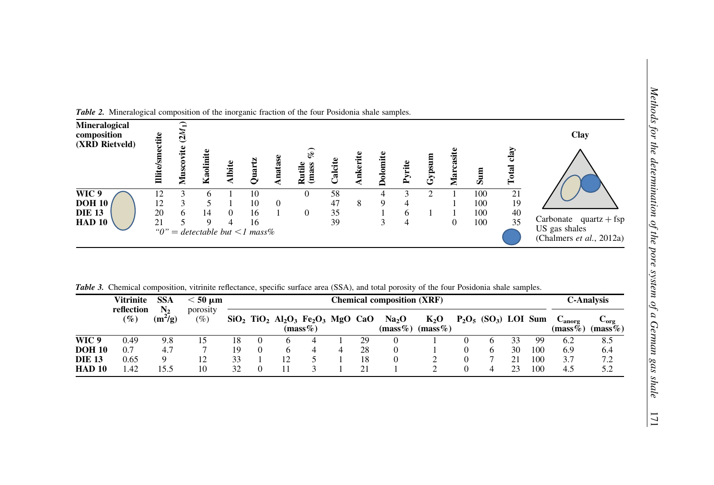$\overline{11}$ 

| <b>Mineralogical</b><br>composition<br>(XRD Rietveld)    | ctite<br><b>Illite</b> | $\overline{a}$<br>rite<br>š | Kaolinite                                    | <b>Albite</b> | Quartz               | natase   | $\widetilde{\mathscr{C}}$<br>Rutile<br>(mass | Calcit               | <b>Ankerite</b> | Dolomite    | Pyrite      | Gypsum | Marcasi        | ھ                        | clay<br>Total        | Clay                                                                  |
|----------------------------------------------------------|------------------------|-----------------------------|----------------------------------------------|---------------|----------------------|----------|----------------------------------------------|----------------------|-----------------|-------------|-------------|--------|----------------|--------------------------|----------------------|-----------------------------------------------------------------------|
| WIC 9<br><b>DOH 10</b><br><b>DIE 13</b><br><b>HAD 10</b> | 12<br>12<br>20<br>21   | 6                           | 14<br>9<br>" $0$ " = detectable but <1 mass% | $\Omega$<br>4 | 10<br>10<br>16<br>16 | $\theta$ | $\Omega$<br>$\Omega$                         | 58<br>47<br>35<br>39 | 8               | 4<br>9<br>3 | 4<br>6<br>4 | ∍      | $\overline{0}$ | 100<br>100<br>100<br>100 | 21<br>19<br>40<br>35 | Carbonate $quartz + fsp$<br>US gas shales<br>(Chalmers et al., 2012a) |

**Table 2.** Mineralogical composition of the inorganic fraction of the four Posidonia shale samples.

Table 3. Chemical composition, vitrinite reflectance, specific surface area (SSA), and total porosity of the four Posidonia shale samples.

|               | <b>Vitrinite</b>     | <b>SSA</b>           | $\leq 50 \text{ }\mu\text{m}$ | <b>Chemical composition (XRF)</b> |  |  |                                                                                                               |  |    |                                 |                      |  |                                     |    |     | <b>C-Analysis</b>                              |                                           |
|---------------|----------------------|----------------------|-------------------------------|-----------------------------------|--|--|---------------------------------------------------------------------------------------------------------------|--|----|---------------------------------|----------------------|--|-------------------------------------|----|-----|------------------------------------------------|-------------------------------------------|
|               | reflection<br>$(\%)$ | $N_{2}$<br>$(m^2/g)$ | porosity<br>$(\%)$            |                                   |  |  | $SiO2$ TiO <sub>2</sub> Al <sub>2</sub> O <sub>3</sub> Fe <sub>2</sub> O <sub>3</sub> MgO CaO<br>(mass $\%$ ) |  |    | Na <sub>2</sub> O<br>$(mass\%)$ | $K_2O$<br>$(mass\%)$ |  | $P_2O_5$ (SO <sub>3</sub> ) LOI Sum |    |     | $\mathbf{\cup}_{\mathbf{anorg}}$<br>$(mass\%)$ | $\mathop{\sf org}\nolimits$<br>$(mass\%)$ |
| WIC 9         | 0.49                 | 9.8                  |                               | 18                                |  |  |                                                                                                               |  | 29 |                                 |                      |  |                                     | 33 | 99  | 6.2                                            | 8.5                                       |
| <b>DOH 10</b> | 0.7                  | 4.7                  |                               | 19                                |  |  |                                                                                                               |  | 28 |                                 |                      |  | O                                   | 30 | 100 | 6.9                                            | 6.4                                       |
| <b>DIE 13</b> | 0.65                 |                      | 12                            | 33                                |  |  |                                                                                                               |  | 18 |                                 |                      |  | -                                   | 21 | 100 | 3.7                                            | 7.2                                       |
| <b>HAD 10</b> | 1.42                 | 15.5                 | 10                            | 32                                |  |  |                                                                                                               |  | 21 |                                 |                      |  | 4                                   | 23 | 100 | 4.5                                            | 5.2                                       |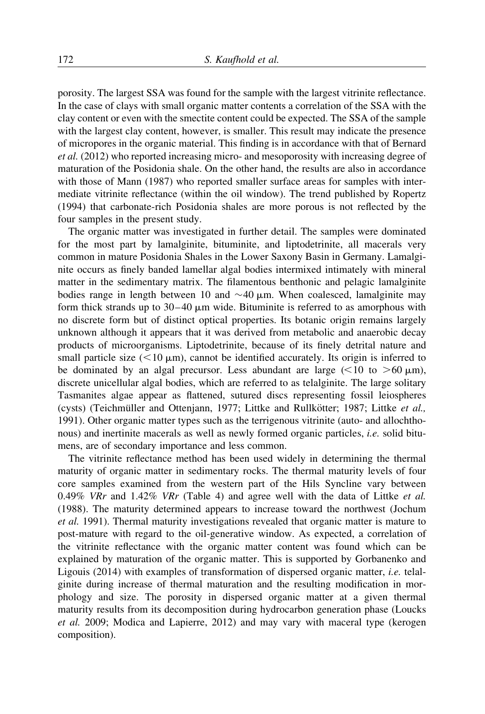porosity. The largest SSA was found for the sample with the largest vitrinite reflectance. In the case of clays with small organic matter contents a correlation of the SSA with the clay content or even with the smectite content could be expected. The SSA of the sample with the largest clay content, however, is smaller. This result may indicate the presence of micropores in the organic material. This finding is in accordance with that of Bernard et al. (2012) who reported increasing micro- and mesoporosity with increasing degree of maturation of the Posidonia shale. On the other hand, the results are also in accordance with those of Mann (1987) who reported smaller surface areas for samples with intermediate vitrinite reflectance (within the oil window). The trend published by Ropertz (1994) that carbonate-rich Posidonia shales are more porous is not reflected by the four samples in the present study.

The organic matter was investigated in further detail. The samples were dominated for the most part by lamalginite, bituminite, and liptodetrinite, all macerals very common in mature Posidonia Shales in the Lower Saxony Basin in Germany. Lamalginite occurs as finely banded lamellar algal bodies intermixed intimately with mineral matter in the sedimentary matrix. The filamentous benthonic and pelagic lamalginite bodies range in length between 10 and  $\sim$ 40  $\mu$ m. When coalesced, lamalginite may form thick strands up to  $30-40 \mu m$  wide. Bituminite is referred to as amorphous with no discrete form but of distinct optical properties. Its botanic origin remains largely unknown although it appears that it was derived from metabolic and anaerobic decay products of microorganisms. Liptodetrinite, because of its finely detrital nature and small particle size  $(< 10 \mu m)$ , cannot be identified accurately. Its origin is inferred to be dominated by an algal precursor. Less abundant are large  $(<10$  to  $>60 \mu m$ ), discrete unicellular algal bodies, which are referred to as telalginite. The large solitary Tasmanites algae appear as flattened, sutured discs representing fossil leiospheres (cysts) (Teichmüller and Ottenjann, 1977; Littke and Rullkötter; 1987; Littke et al., 1991). Other organic matter types such as the terrigenous vitrinite (auto- and allochthonous) and inertinite macerals as well as newly formed organic particles, i.e. solid bitumens, are of secondary importance and less common.

The vitrinite reflectance method has been used widely in determining the thermal maturity of organic matter in sedimentary rocks. The thermal maturity levels of four core samples examined from the western part of the Hils Syncline vary between 0.49% *VRr* and 1.42% *VRr* (Table 4) and agree well with the data of Little *et al.* (1988). The maturity determined appears to increase toward the northwest (Jochum et al. 1991). Thermal maturity investigations revealed that organic matter is mature to post-mature with regard to the oil-generative window. As expected, a correlation of the vitrinite reflectance with the organic matter content was found which can be explained by maturation of the organic matter. This is supported by Gorbanenko and Ligouis (2014) with examples of transformation of dispersed organic matter, *i.e.* telalginite during increase of thermal maturation and the resulting modification in morphology and size. The porosity in dispersed organic matter at a given thermal maturity results from its decomposition during hydrocarbon generation phase (Loucks et al. 2009; Modica and Lapierre, 2012) and may vary with maceral type (kerogen composition).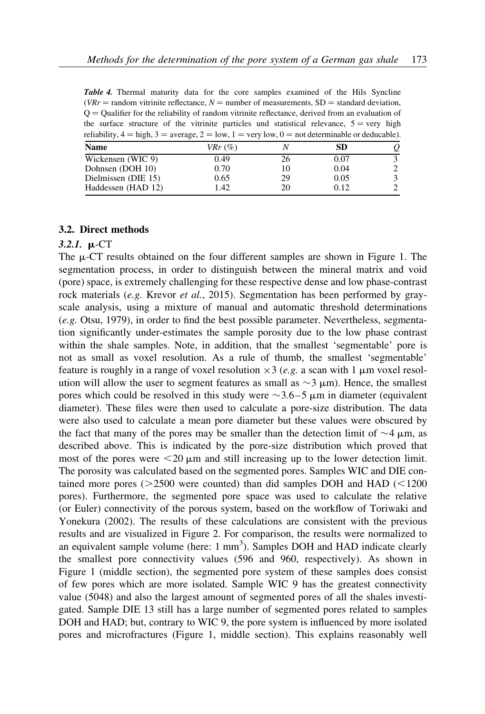Table 4. Thermal maturity data for the core samples examined of the Hils Syncline (VRr = random vitrinite reflectance,  $N =$  number of measurements, SD = standard deviation,  $Q =$  Qualifier for the reliability of random vitrinite reflectance, derived from an evaluation of the surface structure of the vitrinite particles und statistical relevance,  $5 = \text{very high}$ reliability,  $4 =$  high,  $3 =$  average,  $2 =$  low,  $1 =$  very low,  $0 =$  not determinable or deducable).

| $V R r$ $\left( \% \right)$ |    | SD   |                                                                                                                                                                                                                                                                                                                                                                                                       |
|-----------------------------|----|------|-------------------------------------------------------------------------------------------------------------------------------------------------------------------------------------------------------------------------------------------------------------------------------------------------------------------------------------------------------------------------------------------------------|
| 0.49                        | 26 | 0.07 |                                                                                                                                                                                                                                                                                                                                                                                                       |
| 0.70                        | 10 | 0.04 |                                                                                                                                                                                                                                                                                                                                                                                                       |
| 0.65                        | 29 | 0.05 |                                                                                                                                                                                                                                                                                                                                                                                                       |
| l.42                        | 20 | 0.12 |                                                                                                                                                                                                                                                                                                                                                                                                       |
|                             |    |      | $\mathbf{m}_{\mathbf{m}}$ , $\mathbf{m}_{\mathbf{m}}$ , $\mathbf{m}_{\mathbf{m}}$ , $\mathbf{m}_{\mathbf{m}}$ , $\mathbf{m}_{\mathbf{m}}$ , $\mathbf{m}_{\mathbf{m}}$ , $\mathbf{m}_{\mathbf{m}}$ , $\mathbf{m}_{\mathbf{m}}$ , $\mathbf{m}_{\mathbf{m}}$ , $\mathbf{m}_{\mathbf{m}}$ , $\mathbf{m}_{\mathbf{m}}$ , $\mathbf{m}_{\mathbf{m}}$ , $\mathbf{m}_{\mathbf{m}}$ , $\mathbf{m}_{\mathbf{m}}$ |

#### 3.2. Direct methods

#### 3.2.1. **µ**-CT

The  $\mu$ -CT results obtained on the four different samples are shown in Figure 1. The segmentation process, in order to distinguish between the mineral matrix and void (pore) space, is extremely challenging for these respective dense and low phase-contrast rock materials (e.g. Krevor et al., 2015). Segmentation has been performed by grayscale analysis, using a mixture of manual and automatic threshold determinations (e.g. Otsu, 1979), in order to find the best possible parameter. Nevertheless, segmentation significantly under-estimates the sample porosity due to the low phase contrast within the shale samples. Note, in addition, that the smallest 'segmentable' pore is not as small as voxel resolution. As a rule of thumb, the smallest 'segmentable' feature is roughly in a range of voxel resolution  $\times$  3 (e.g. a scan with 1  $\mu$ m voxel resolution will allow the user to segment features as small as  $\sim$  3  $\mu$ m). Hence, the smallest pores which could be resolved in this study were  $\sim$ 3.6–5  $\mu$ m in diameter (equivalent diameter). These files were then used to calculate a pore-size distribution. The data were also used to calculate a mean pore diameter but these values were obscured by the fact that many of the pores may be smaller than the detection limit of  $\sim$ 4  $\mu$ m, as described above. This is indicated by the pore-size distribution which proved that most of the pores were  $\leq 20 \mu m$  and still increasing up to the lower detection limit. The porosity was calculated based on the segmented pores. Samples WIC and DIE contained more pores ( $>2500$  were counted) than did samples DOH and HAD ( $<1200$ ) pores). Furthermore, the segmented pore space was used to calculate the relative (or Euler) connectivity of the porous system, based on the workflow of Toriwaki and Yonekura (2002). The results of these calculations are consistent with the previous results and are visualized in Figure 2. For comparison, the results were normalized to an equivalent sample volume (here: 1 mm<sup>3</sup>). Samples DOH and HAD indicate clearly the smallest pore connectivity values (596 and 960, respectively). As shown in Figure 1 (middle section), the segmented pore system of these samples does consist of few pores which are more isolated. Sample WIC 9 has the greatest connectivity value (5048) and also the largest amount of segmented pores of all the shales investigated. Sample DIE 13 still has a large number of segmented pores related to samples DOH and HAD; but, contrary to WIC 9, the pore system is influenced by more isolated pores and microfractures (Figure 1, middle section). This explains reasonably well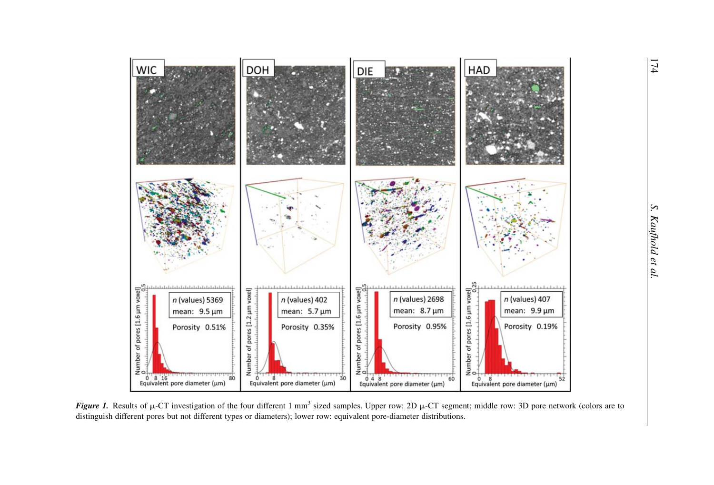

Figure 1. Results of  $\mu$ -CT investigation of the four different 1 mm<sup>3</sup> sized samples. Upper row: 2D  $\mu$ -CT segment; middle row: 3D pore network (colors are to distinguish different pores but not different types or diameters); lower row: equivalent pore-diameter distributions.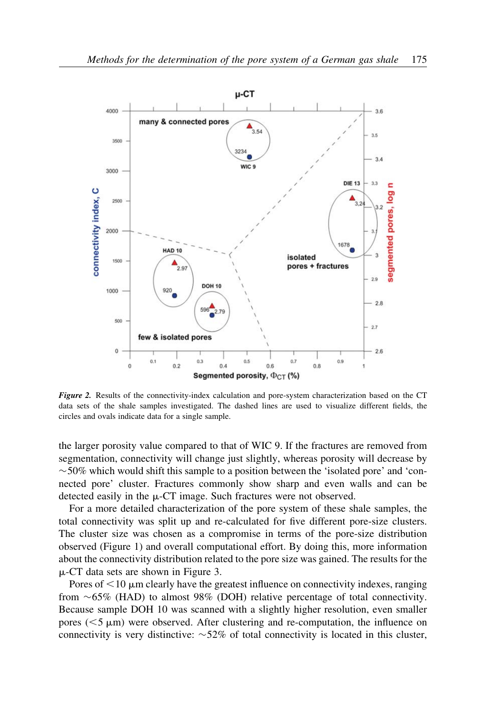

Figure 2. Results of the connectivity-index calculation and pore-system characterization based on the CT data sets of the shale samples investigated. The dashed lines are used to visualize different fields, the circles and ovals indicate data for a single sample.

the larger porosity value compared to that of WIC 9. If the fractures are removed from segmentation, connectivity will change just slightly, whereas porosity will decrease by  $\sim$  50% which would shift this sample to a position between the 'isolated pore' and 'connected pore' cluster. Fractures commonly show sharp and even walls and can be detected easily in the  $\mu$ -CT image. Such fractures were not observed.

For a more detailed characterization of the pore system of these shale samples, the total connectivity was split up and re-calculated for five different pore-size clusters. The cluster size was chosen as a compromise in terms of the pore-size distribution observed (Figure 1) and overall computational effort. By doing this, more information about the connectivity distribution related to the pore size was gained. The results for the  $\mu$ -CT data sets are shown in Figure 3.

Pores of  $\leq 10$   $\mu$ m clearly have the greatest influence on connectivity indexes, ranging from  $\sim$  65% (HAD) to almost 98% (DOH) relative percentage of total connectivity. Because sample DOH 10 was scanned with a slightly higher resolution, even smaller pores  $(<5 \mu m)$  were observed. After clustering and re-computation, the influence on connectivity is very distinctive:  $\sim$  52% of total connectivity is located in this cluster,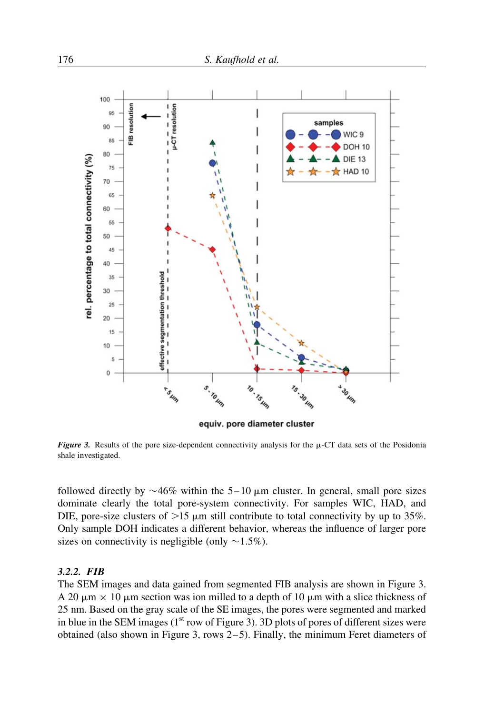

equiv. pore diameter cluster

**Figure 3.** Results of the pore size-dependent connectivity analysis for the  $\mu$ -CT data sets of the Posidonia shale investigated.

followed directly by  $\sim$ 46% within the 5–10  $\mu$ m cluster. In general, small pore sizes dominate clearly the total pore-system connectivity. For samples WIC, HAD, and DIE, pore-size clusters of  $>15 \mu m$  still contribute to total connectivity by up to 35%. Only sample DOH indicates a different behavior, whereas the influence of larger pore sizes on connectivity is negligible (only  $\sim$  1.5%).

#### 3.2.2. FIB

The SEM images and data gained from segmented FIB analysis are shown in Figure 3. A 20  $\mu$ m  $\times$  10  $\mu$ m section was ion milled to a depth of 10  $\mu$ m with a slice thickness of 25 nm. Based on the gray scale of the SE images, the pores were segmented and marked in blue in the SEM images ( $1<sup>st</sup>$  row of Figure 3). 3D plots of pores of different sizes were obtained (also shown in Figure 3, rows 2–5). Finally, the minimum Feret diameters of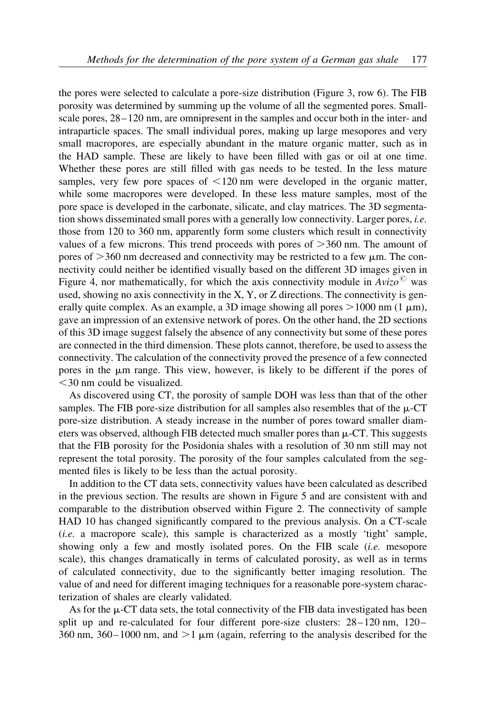the pores were selected to calculate a pore-size distribution (Figure 3, row 6). The FIB porosity was determined by summing up the volume of all the segmented pores. Smallscale pores, 28–120 nm, are omnipresent in the samples and occur both in the inter- and intraparticle spaces. The small individual pores, making up large mesopores and very small macropores, are especially abundant in the mature organic matter, such as in the HAD sample. These are likely to have been filled with gas or oil at one time. Whether these pores are still filled with gas needs to be tested. In the less mature samples, very few pore spaces of  $\leq 120$  nm were developed in the organic matter, while some macropores were developed. In these less mature samples, most of the pore space is developed in the carbonate, silicate, and clay matrices. The 3D segmentation shows disseminated small pores with a generally low connectivity. Larger pores, *i.e.* those from 120 to 360 nm, apparently form some clusters which result in connectivity values of a few microns. This trend proceeds with pores of  $>$ 360 nm. The amount of pores of  $>360$  nm decreased and connectivity may be restricted to a few  $\mu$ m. The connectivity could neither be identified visually based on the different 3D images given in Figure 4, nor mathematically, for which the axis connectivity module in  $Avizo^{\circledcirc}$  was used, showing no axis connectivity in the X, Y, or Z directions. The connectivity is generally quite complex. As an example, a 3D image showing all pores  $>1000$  nm (1  $\mu$ m), gave an impression of an extensive network of pores. On the other hand, the 2D sections of this 3D image suggest falsely the absence of any connectivity but some of these pores are connected in the third dimension. These plots cannot, therefore, be used to assess the connectivity. The calculation of the connectivity proved the presence of a few connected pores in the  $\mu$ m range. This view, however, is likely to be different if the pores of  $<$ 30 nm could be visualized.

As discovered using CT, the porosity of sample DOH was less than that of the other samples. The FIB pore-size distribution for all samples also resembles that of the  $\mu$ -CT pore-size distribution. A steady increase in the number of pores toward smaller diameters was observed, although FIB detected much smaller pores than  $\mu$ -CT. This suggests that the FIB porosity for the Posidonia shales with a resolution of 30 nm still may not represent the total porosity. The porosity of the four samples calculated from the segmented files is likely to be less than the actual porosity.

In addition to the CT data sets, connectivity values have been calculated as described in the previous section. The results are shown in Figure 5 and are consistent with and comparable to the distribution observed within Figure 2. The connectivity of sample HAD 10 has changed significantly compared to the previous analysis. On a CT-scale (i.e. a macropore scale), this sample is characterized as a mostly 'tight' sample, showing only a few and mostly isolated pores. On the FIB scale (i.e. mesopore scale), this changes dramatically in terms of calculated porosity, as well as in terms of calculated connectivity, due to the significantly better imaging resolution. The value of and need for different imaging techniques for a reasonable pore-system characterization of shales are clearly validated.

As for the  $\mu$ -CT data sets, the total connectivity of the FIB data investigated has been split up and re-calculated for four different pore-size clusters: 28–120 nm, 120– 360 nm, 360–1000 nm, and  $>1 \mu$ m (again, referring to the analysis described for the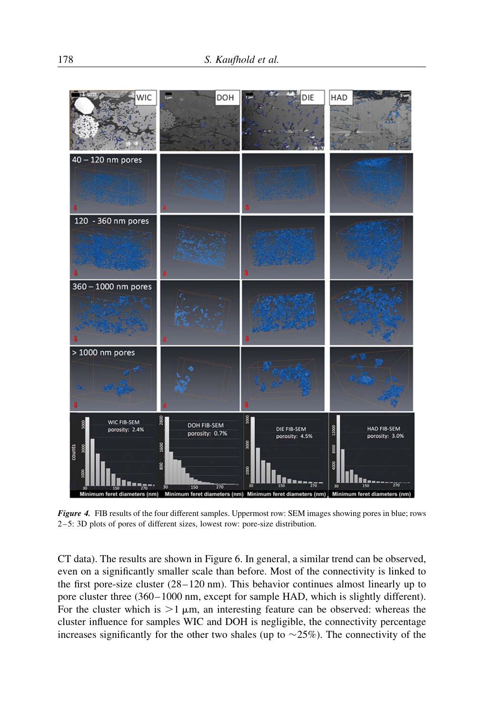

Figure 4. FIB results of the four different samples. Uppermost row: SEM images showing pores in blue; rows 2–5: 3D plots of pores of different sizes, lowest row: pore-size distribution.

CT data). The results are shown in Figure 6. In general, a similar trend can be observed, even on a significantly smaller scale than before. Most of the connectivity is linked to the first pore-size cluster (28–120 nm). This behavior continues almost linearly up to pore cluster three (360–1000 nm, except for sample HAD, which is slightly different). For the cluster which is  $>1 \mu m$ , an interesting feature can be observed: whereas the cluster influence for samples WIC and DOH is negligible, the connectivity percentage increases significantly for the other two shales (up to  $\sim$  25%). The connectivity of the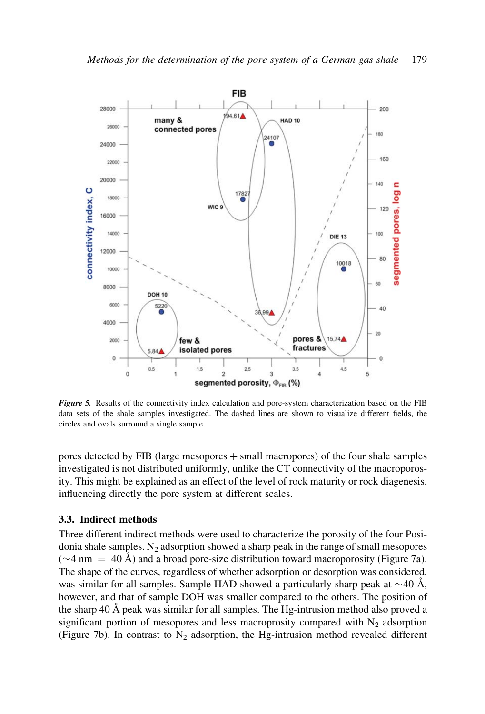

Figure 5. Results of the connectivity index calculation and pore-system characterization based on the FIB data sets of the shale samples investigated. The dashed lines are shown to visualize different fields, the circles and ovals surround a single sample.

pores detected by FIB (large mesopores  $+$  small macropores) of the four shale samples investigated is not distributed uniformly, unlike the CT connectivity of the macroporosity. This might be explained as an effect of the level of rock maturity or rock diagenesis, influencing directly the pore system at different scales.

## 3.3. Indirect methods

Three different indirect methods were used to characterize the porosity of the four Posidonia shale samples.  $N_2$  adsorption showed a sharp peak in the range of small mesopores  $(\sim 4 \text{ nm} = 40 \text{ Å})$  and a broad pore-size distribution toward macroporosity (Figure 7a). The shape of the curves, regardless of whether adsorption or desorption was considered, was similar for all samples. Sample HAD showed a particularly sharp peak at  $\sim$ 40 Å, however, and that of sample DOH was smaller compared to the others. The position of the sharp 40  $\AA$  peak was similar for all samples. The Hg-intrusion method also proved a significant portion of mesopores and less macroprosity compared with  $N_2$  adsorption (Figure 7b). In contrast to  $N_2$  adsorption, the Hg-intrusion method revealed different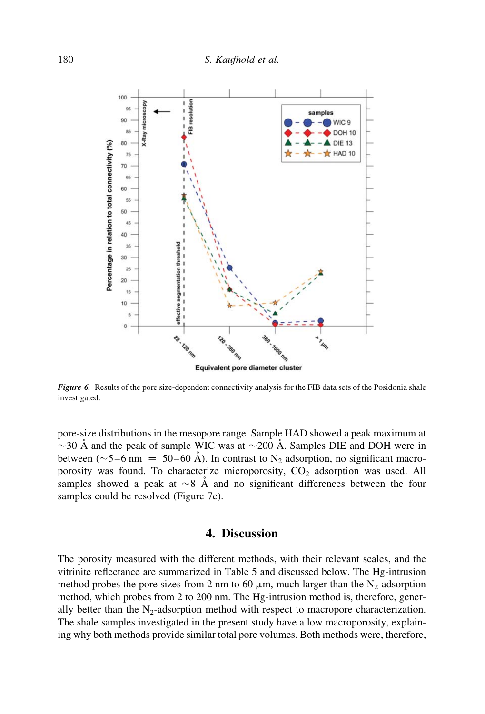

Figure 6. Results of the pore size-dependent connectivity analysis for the FIB data sets of the Posidonia shale investigated.

pore-size distributions in the mesopore range. Sample HAD showed a peak maximum at  $\sim$  30 Å and the peak of sample WIC was at  $\sim$  200 Å. Samples DIE and DOH were in between ( $\sim$  5–6 nm = 50–60 Å). In contrast to N<sub>2</sub> adsorption, no significant macroporosity was found. To characterize microporosity,  $CO<sub>2</sub>$  adsorption was used. All samples showed a peak at  $\sim 8$  Å and no significant differences between the four samples could be resolved (Figure 7c).

## 4. Discussion

The porosity measured with the different methods, with their relevant scales, and the vitrinite reflectance are summarized in Table 5 and discussed below. The Hg-intrusion method probes the pore sizes from 2 nm to 60  $\mu$ m, much larger than the N<sub>2</sub>-adsorption method, which probes from 2 to 200 nm. The Hg-intrusion method is, therefore, generally better than the  $N_2$ -adsorption method with respect to macropore characterization. The shale samples investigated in the present study have a low macroporosity, explaining why both methods provide similar total pore volumes. Both methods were, therefore,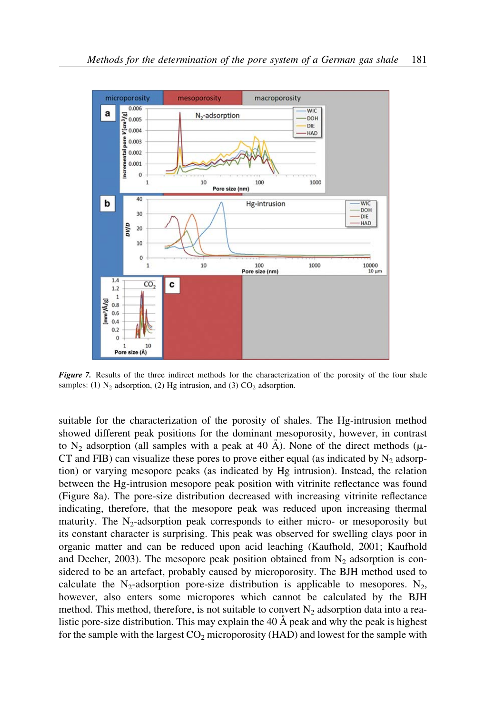

Figure 7. Results of the three indirect methods for the characterization of the porosity of the four shale samples: (1)  $N_2$  adsorption, (2) Hg intrusion, and (3) CO<sub>2</sub> adsorption.

suitable for the characterization of the porosity of shales. The Hg-intrusion method showed different peak positions for the dominant mesoporosity, however, in contrast to N<sub>2</sub> adsorption (all samples with a peak at 40  $\AA$ ). None of the direct methods ( $\mu$ -CT and FIB) can visualize these pores to prove either equal (as indicated by  $N_2$  adsorption) or varying mesopore peaks (as indicated by Hg intrusion). Instead, the relation between the Hg-intrusion mesopore peak position with vitrinite reflectance was found (Figure 8a). The pore-size distribution decreased with increasing vitrinite reflectance indicating, therefore, that the mesopore peak was reduced upon increasing thermal maturity. The  $N_2$ -adsorption peak corresponds to either micro- or mesoporosity but its constant character is surprising. This peak was observed for swelling clays poor in organic matter and can be reduced upon acid leaching (Kaufhold, 2001; Kaufhold and Decher, 2003). The mesopore peak position obtained from  $N_2$  adsorption is considered to be an artefact, probably caused by microporosity. The BJH method used to calculate the  $N_2$ -adsorption pore-size distribution is applicable to mesopores.  $N_2$ , however, also enters some micropores which cannot be calculated by the BJH method. This method, therefore, is not suitable to convert  $N_2$  adsorption data into a realistic pore-size distribution. This may explain the  $40 \text{ Å}$  peak and why the peak is highest for the sample with the largest  $CO<sub>2</sub>$  microporosity (HAD) and lowest for the sample with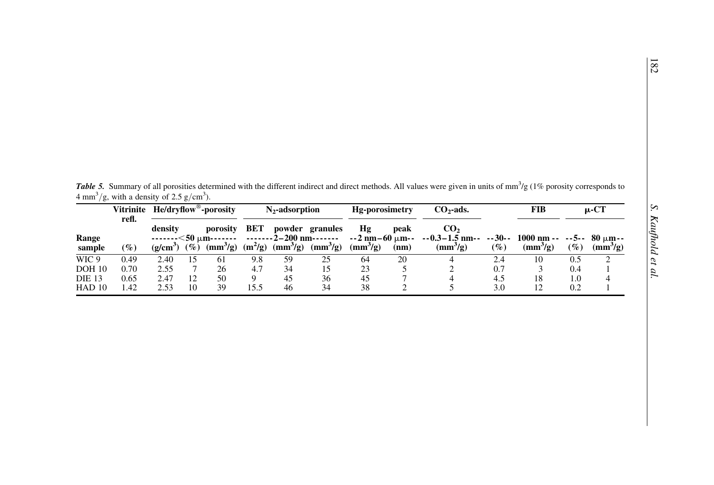**Table 5.** Summary of all porosities determined with the different indirect and direct methods. All values were given in units of mm<sup>3</sup>/g (1% porosity corresponds to  $4 \text{ mm}^3/\text{g}$ , with a density of 2.5 g/cm<sup>3</sup>).

|                  | refl.  | Vitrinite He/dryflow®-porosity |        | $N_2$ -adsorption     |      |                      | Hg-porosimetry                                      |                      | $CO2$ -ads. |                                                                  | <b>FIB</b> | u-CT                                         |        |         |
|------------------|--------|--------------------------------|--------|-----------------------|------|----------------------|-----------------------------------------------------|----------------------|-------------|------------------------------------------------------------------|------------|----------------------------------------------|--------|---------|
| Range            |        | density                        |        | porosity              | BET  | $---2-200$ nm------- | powder granules                                     | Hg                   | peak        | CO <sub>2</sub><br>$-2$ nm $-60$ $\mu$ m $ -0.3 - 1.5$ nm $ -30$ |            | $1000 \text{ nm} - -5 - 5 - 80 \mu \text{m}$ |        |         |
| sample           | $(\%)$ | (g/cm <sup>3</sup> )           | $(\%)$ | $\text{m}^3\text{/g}$ |      |                      | $(m^2/g)$ (mm <sup>3</sup> /g) (mm <sup>3</sup> /g) | (mm <sup>3</sup> /g) | (nm)        | $(mm^3/g)$                                                       | $(\%)$     | $(mm^3/g)$                                   | $(\%)$ | (mm'/g) |
| WIC <sub>9</sub> | 0.49   | 2.40                           | 15     | 61                    | 9.8  | 59                   | 25                                                  | 64                   | 20          |                                                                  | 2.4        | 10                                           | 0.5    |         |
| <b>DOH 10</b>    | 0.70   | 2.55                           |        | 26                    | 4.7  | 34                   | 15                                                  | 23                   |             |                                                                  | 0.7        |                                              | 0.4    |         |
| <b>DIE 13</b>    | 0.65   | 2.47                           | 12     | 50                    | 9    | 45                   | 36                                                  | 45                   |             |                                                                  | 4.5        | 18                                           | 1.0    | 4       |
| HAD10            | 1.42   | 2.53                           | 10     | 39                    | 15.5 | 46                   | 34                                                  | 38                   |             |                                                                  | 3.0        |                                              | 0.2    |         |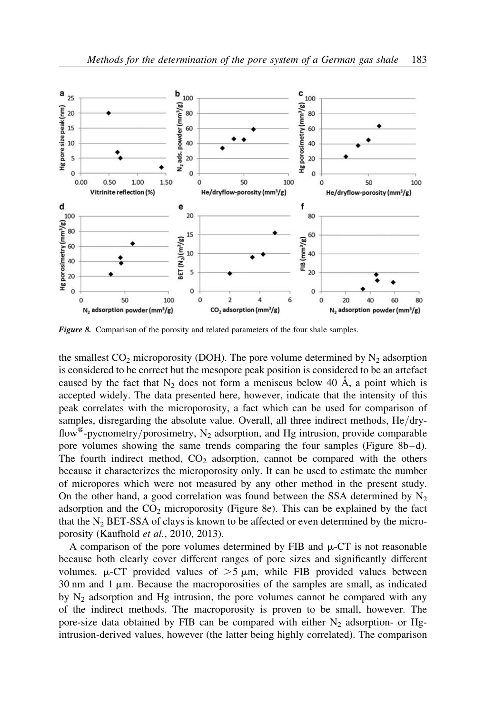

Figure 8. Comparison of the porosity and related parameters of the four shale samples.

the smallest  $CO<sub>2</sub>$  microporosity (DOH). The pore volume determined by  $N<sub>2</sub>$  adsorption is considered to be correct but the mesopore peak position is considered to be an artefact caused by the fact that  $N_2$  does not form a meniscus below 40 Å, a point which is accepted widely. The data presented here, however, indicate that the intensity of this peak correlates with the microporosity, a fact which can be used for comparison of samples, disregarding the absolute value. Overall, all three indirect methods, He/dryflow<sup>®</sup>-pycnometry/porosimetry, N<sub>2</sub> adsorption, and Hg intrusion, provide comparable pore volumes showing the same trends comparing the four samples (Figure 8b–d). The fourth indirect method,  $CO<sub>2</sub>$  adsorption, cannot be compared with the others because it characterizes the microporosity only. It can be used to estimate the number of micropores which were not measured by any other method in the present study. On the other hand, a good correlation was found between the SSA determined by  $N_2$ adsorption and the  $CO<sub>2</sub>$  microporosity (Figure 8e). This can be explained by the fact that the  $N_2$  BET-SSA of clays is known to be affected or even determined by the microporosity (Kaufhold et al., 2010, 2013).

A comparison of the pore volumes determined by FIB and  $\mu$ -CT is not reasonable because both clearly cover different ranges of pore sizes and significantly different volumes.  $\mu$ -CT provided values of  $>5 \mu$ m, while FIB provided values between  $30 \text{ nm}$  and  $1 \mu \text{m}$ . Because the macroporosities of the samples are small, as indicated by  $N_2$  adsorption and Hg intrusion, the pore volumes cannot be compared with any of the indirect methods. The macroporosity is proven to be small, however. The pore-size data obtained by FIB can be compared with either  $N_2$  adsorption- or Hgintrusion-derived values, however (the latter being highly correlated). The comparison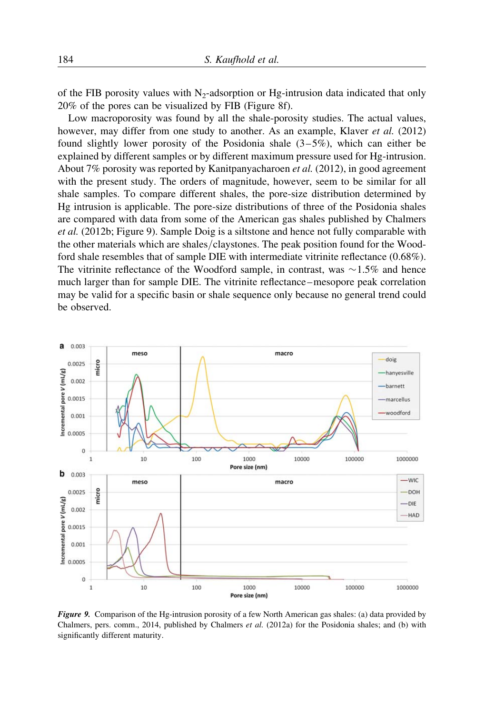of the FIB porosity values with  $N_2$ -adsorption or Hg-intrusion data indicated that only 20% of the pores can be visualized by FIB (Figure 8f).

Low macroporosity was found by all the shale-porosity studies. The actual values, however, may differ from one study to another. As an example, Klaver et al. (2012) found slightly lower porosity of the Posidonia shale  $(3-5\%)$ , which can either be explained by different samples or by different maximum pressure used for Hg-intrusion. About 7% porosity was reported by Kanitpanyacharoen et al. (2012), in good agreement with the present study. The orders of magnitude, however, seem to be similar for all shale samples. To compare different shales, the pore-size distribution determined by Hg intrusion is applicable. The pore-size distributions of three of the Posidonia shales are compared with data from some of the American gas shales published by Chalmers et al. (2012b; Figure 9). Sample Doig is a siltstone and hence not fully comparable with the other materials which are shales/claystones. The peak position found for the Woodford shale resembles that of sample DIE with intermediate vitrinite reflectance  $(0.68\%)$ . The vitrinite reflectance of the Woodford sample, in contrast, was  $\sim 1.5\%$  and hence much larger than for sample DIE. The vitrinite reflectance–mesopore peak correlation may be valid for a specific basin or shale sequence only because no general trend could be observed.



Figure 9. Comparison of the Hg-intrusion porosity of a few North American gas shales: (a) data provided by Chalmers, pers. comm., 2014, published by Chalmers et al. (2012a) for the Posidonia shales; and (b) with significantly different maturity.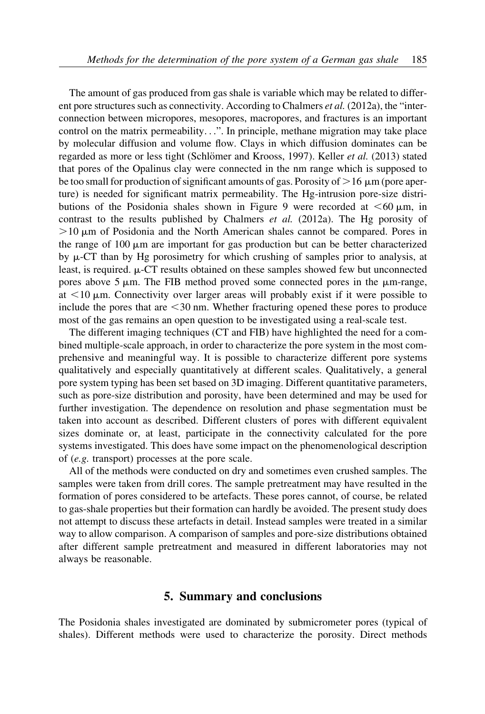The amount of gas produced from gas shale is variable which may be related to different pore structures such as connectivity. According to Chalmers *et al.* (2012a), the "interconnection between micropores, mesopores, macropores, and fractures is an important control on the matrix permeability...". In principle, methane migration may take place by molecular diffusion and volume flow. Clays in which diffusion dominates can be regarded as more or less tight (Schlömer and Krooss, 1997). Keller et al. (2013) stated that pores of the Opalinus clay were connected in the nm range which is supposed to be too small for production of significant amounts of gas. Porosity of  $>$ 16  $\mu$ m (pore aperture) is needed for significant matrix permeability. The Hg-intrusion pore-size distributions of the Posidonia shales shown in Figure 9 were recorded at  $\lt 60 \mu m$ , in contrast to the results published by Chalmers et al. (2012a). The Hg porosity of  $>10 \mu$ m of Posidonia and the North American shales cannot be compared. Pores in the range of  $100 \mu m$  are important for gas production but can be better characterized by  $\mu$ -CT than by Hg porosimetry for which crushing of samples prior to analysis, at least, is required.  $\mu$ -CT results obtained on these samples showed few but unconnected pores above 5  $\mu$ m. The FIB method proved some connected pores in the  $\mu$ m-range, at  $\lt 10 \mu$ m. Connectivity over larger areas will probably exist if it were possible to include the pores that are  $\leq$  30 nm. Whether fracturing opened these pores to produce most of the gas remains an open question to be investigated using a real-scale test.

The different imaging techniques (CT and FIB) have highlighted the need for a combined multiple-scale approach, in order to characterize the pore system in the most comprehensive and meaningful way. It is possible to characterize different pore systems qualitatively and especially quantitatively at different scales. Qualitatively, a general pore system typing has been set based on 3D imaging. Different quantitative parameters, such as pore-size distribution and porosity, have been determined and may be used for further investigation. The dependence on resolution and phase segmentation must be taken into account as described. Different clusters of pores with different equivalent sizes dominate or, at least, participate in the connectivity calculated for the pore systems investigated. This does have some impact on the phenomenological description of (e.g. transport) processes at the pore scale.

All of the methods were conducted on dry and sometimes even crushed samples. The samples were taken from drill cores. The sample pretreatment may have resulted in the formation of pores considered to be artefacts. These pores cannot, of course, be related to gas-shale properties but their formation can hardly be avoided. The present study does not attempt to discuss these artefacts in detail. Instead samples were treated in a similar way to allow comparison. A comparison of samples and pore-size distributions obtained after different sample pretreatment and measured in different laboratories may not always be reasonable.

## 5. Summary and conclusions

The Posidonia shales investigated are dominated by submicrometer pores (typical of shales). Different methods were used to characterize the porosity. Direct methods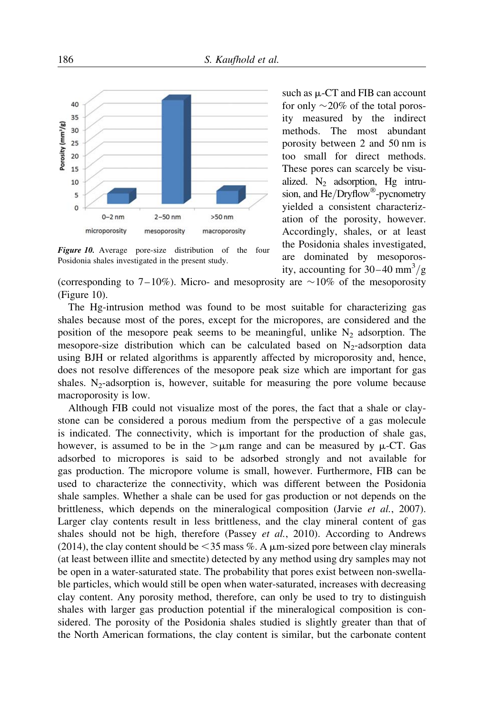

Figure 10. Average pore-size distribution of the four Posidonia shales investigated in the present study.

such as  $\mu$ -CT and FIB can account for only  $\sim$  20% of the total porosity measured by the indirect methods. The most abundant porosity between 2 and 50 nm is too small for direct methods. These pores can scarcely be visualized.  $N_2$  adsorption, Hg intrusion, and  $\text{He} / \text{Dryflow}^{\circledR}$ -pycnometry yielded a consistent characterization of the porosity, however. Accordingly, shales, or at least the Posidonia shales investigated, are dominated by mesoporosity, accounting for  $30-40$  mm<sup>3</sup>/g

(corresponding to  $7-10\%$ ). Micro- and mesoprosity are  $\sim 10\%$  of the mesoporosity (Figure 10).

The Hg-intrusion method was found to be most suitable for characterizing gas shales because most of the pores, except for the micropores, are considered and the position of the mesopore peak seems to be meaningful, unlike  $N_2$  adsorption. The mesopore-size distribution which can be calculated based on  $N_2$ -adsorption data using BJH or related algorithms is apparently affected by microporosity and, hence, does not resolve differences of the mesopore peak size which are important for gas shales.  $N_2$ -adsorption is, however, suitable for measuring the pore volume because macroporosity is low.

Although FIB could not visualize most of the pores, the fact that a shale or claystone can be considered a porous medium from the perspective of a gas molecule is indicated. The connectivity, which is important for the production of shale gas, however, is assumed to be in the  $>\mu$ m range and can be measured by  $\mu$ -CT. Gas adsorbed to micropores is said to be adsorbed strongly and not available for gas production. The micropore volume is small, however. Furthermore, FIB can be used to characterize the connectivity, which was different between the Posidonia shale samples. Whether a shale can be used for gas production or not depends on the brittleness, which depends on the mineralogical composition (Jarvie et al., 2007). Larger clay contents result in less brittleness, and the clay mineral content of gas shales should not be high, therefore (Passey et al., 2010). According to Andrews (2014), the clay content should be  $\leq$ 35 mass %. A  $\mu$ m-sized pore between clay minerals (at least between illite and smectite) detected by any method using dry samples may not be open in a water-saturated state. The probability that pores exist between non-swellable particles, which would still be open when water-saturated, increases with decreasing clay content. Any porosity method, therefore, can only be used to try to distinguish shales with larger gas production potential if the mineralogical composition is considered. The porosity of the Posidonia shales studied is slightly greater than that of the North American formations, the clay content is similar, but the carbonate content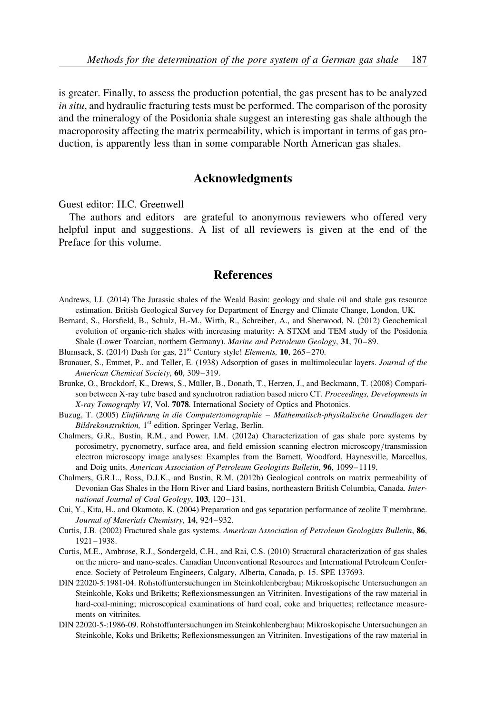is greater. Finally, to assess the production potential, the gas present has to be analyzed in situ, and hydraulic fracturing tests must be performed. The comparison of the porosity and the mineralogy of the Posidonia shale suggest an interesting gas shale although the macroporosity affecting the matrix permeability, which is important in terms of gas production, is apparently less than in some comparable North American gas shales.

# Acknowledgments

Guest editor: H.C. Greenwell

The authors and editors are grateful to anonymous reviewers who offered very helpful input and suggestions. A list of all reviewers is given at the end of the Preface for this volume.

# References

- Andrews, I.J. (2014) The Jurassic shales of the Weald Basin: geology and shale oil and shale gas resource estimation. British Geological Survey for Department of Energy and Climate Change, London, UK.
- Bernard, S., Horsfield, B., Schulz, H.-M., Wirth, R., Schreiber, A., and Sherwood, N. (2012) Geochemical evolution of organic-rich shales with increasing maturity: A STXM and TEM study of the Posidonia Shale (Lower Toarcian, northern Germany). Marine and Petroleum Geology, 31, 70–89.
- Blumsack, S. (2014) Dash for gas,  $21<sup>st</sup>$  Century style! Elements, 10, 265–270.
- Brunauer, S., Emmet, P., and Teller, E. (1938) Adsorption of gases in multimolecular layers. Journal of the American Chemical Society, 60, 309–319.
- Brunke, O., Brockdorf, K., Drews, S., Müller, B., Donath, T., Herzen, J., and Beckmann, T. (2008) Comparison between X-ray tube based and synchrotron radiation based micro CT. Proceedings, Developments in X-ray Tomography VI, Vol. 7078. International Society of Optics and Photonics.
- Buzug, T. (2005) Einführung in die Computertomographie Mathematisch-physikalische Grundlagen der Bildrekonstruktion,  $1<sup>st</sup>$  edition. Springer Verlag, Berlin.
- Chalmers, G.R., Bustin, R.M., and Power, I.M. (2012a) Characterization of gas shale pore systems by porosimetry, pycnometry, surface area, and field emission scanning electron microscopy/transmission electron microscopy image analyses: Examples from the Barnett, Woodford, Haynesville, Marcellus, and Doig units. American Association of Petroleum Geologists Bulletin, 96, 1099–1119.
- Chalmers, G.R.L., Ross, D.J.K., and Bustin, R.M. (2012b) Geological controls on matrix permeability of Devonian Gas Shales in the Horn River and Liard basins, northeastern British Columbia, Canada. International Journal of Coal Geology, 103, 120-131.
- Cui, Y., Kita, H., and Okamoto, K. (2004) Preparation and gas separation performance of zeolite T membrane. Journal of Materials Chemistry, 14, 924–932.
- Curtis, J.B. (2002) Fractured shale gas systems. American Association of Petroleum Geologists Bulletin, 86, 1921–1938.
- Curtis, M.E., Ambrose, R.J., Sondergeld, C.H., and Rai, C.S. (2010) Structural characterization of gas shales on the micro- and nano-scales. Canadian Unconventional Resources and International Petroleum Conference. Society of Petroleum Engineers, Calgary, Alberta, Canada, p. 15. SPE 137693.
- DIN 22020-5:1981-04. Rohstoffuntersuchungen im Steinkohlenbergbau; Mikroskopische Untersuchungen an Steinkohle, Koks und Briketts; Reflexionsmessungen an Vitriniten. Investigations of the raw material in hard-coal-mining; microscopical examinations of hard coal, coke and briquettes; reflectance measurements on vitrinites.
- DIN 22020-5-:1986-09. Rohstoffuntersuchungen im Steinkohlenbergbau; Mikroskopische Untersuchungen an Steinkohle, Koks und Briketts; Reflexionsmessungen an Vitriniten. Investigations of the raw material in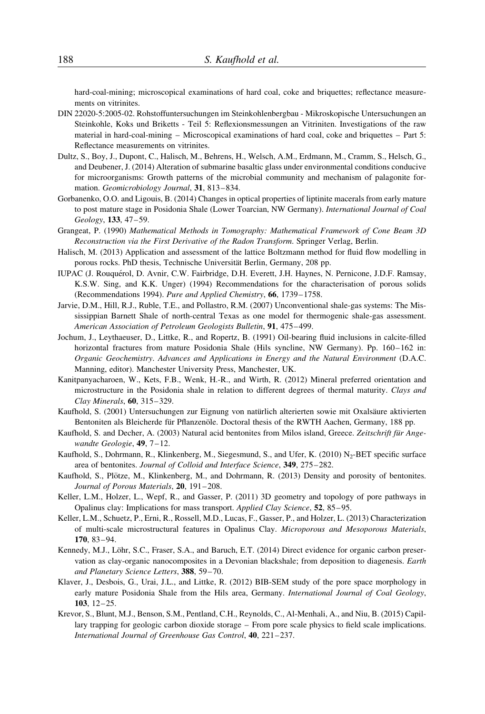hard-coal-mining; microscopical examinations of hard coal, coke and briquettes; reflectance measurements on vitrinites.

- DIN 22020-5:2005-02. Rohstoffuntersuchungen im Steinkohlenbergbau Mikroskopische Untersuchungen an Steinkohle, Koks und Briketts - Teil 5: Reflexionsmessungen an Vitriniten. Investigations of the raw material in hard-coal-mining – Microscopical examinations of hard coal, coke and briquettes – Part 5: Reflectance measurements on vitrinites.
- Dultz, S., Boy, J., Dupont, C., Halisch, M., Behrens, H., Welsch, A.M., Erdmann, M., Cramm, S., Helsch, G., and Deubener, J. (2014) Alteration of submarine basaltic glass under environmental conditions conducive for microorganisms: Growth patterns of the microbial community and mechanism of palagonite formation. Geomicrobiology Journal, 31, 813–834.
- Gorbanenko, O.O. and Ligouis, B. (2014) Changes in optical properties of liptinite macerals from early mature to post mature stage in Posidonia Shale (Lower Toarcian, NW Germany). International Journal of Coal Geology, 133, 47–59.
- Grangeat, P. (1990) Mathematical Methods in Tomography: Mathematical Framework of Cone Beam 3D Reconstruction via the First Derivative of the Radon Transform. Springer Verlag, Berlin.
- Halisch, M. (2013) Application and assessment of the lattice Boltzmann method for fluid flow modelling in porous rocks. PhD thesis, Technische Universität Berlin, Germany, 208 pp.
- IUPAC (J. Rouquérol, D. Avnir, C.W. Fairbridge, D.H. Everett, J.H. Haynes, N. Pernicone, J.D.F. Ramsay, K.S.W. Sing, and K.K. Unger) (1994) Recommendations for the characterisation of porous solids (Recommendations 1994). Pure and Applied Chemistry, 66, 1739–1758.
- Jarvie, D.M., Hill, R.J., Ruble, T.E., and Pollastro, R.M. (2007) Unconventional shale-gas systems: The Mississippian Barnett Shale of north-central Texas as one model for thermogenic shale-gas assessment. American Association of Petroleum Geologists Bulletin, 91, 475-499.
- Jochum, J., Leythaeuser, D., Littke, R., and Ropertz, B. (1991) Oil-bearing fluid inclusions in calcite-filled horizontal fractures from mature Posidonia Shale (Hils syncline, NW Germany). Pp. 160–162 in: Organic Geochemistry. Advances and Applications in Energy and the Natural Environment (D.A.C. Manning, editor). Manchester University Press, Manchester, UK.
- Kanitpanyacharoen, W., Kets, F.B., Wenk, H.-R., and Wirth, R. (2012) Mineral preferred orientation and microstructure in the Posidonia shale in relation to different degrees of thermal maturity. Clays and Clay Minerals, 60, 315–329.
- Kaufhold, S. (2001) Untersuchungen zur Eignung von natürlich alterierten sowie mit Oxalsäure aktivierten Bentoniten als Bleicherde für Pflanzenöle. Doctoral thesis of the RWTH Aachen, Germany, 188 pp.
- Kaufhold, S. and Decher, A. (2003) Natural acid bentonites from Milos island, Greece. Zeitschrift für Angewandte Geologie, 49, 7–12.
- Kaufhold, S., Dohrmann, R., Klinkenberg, M., Siegesmund, S., and Ufer, K. (2010) N<sub>2</sub>-BET specific surface area of bentonites. Journal of Colloid and Interface Science, 349, 275–282.
- Kaufhold, S., Plötze, M., Klinkenberg, M., and Dohrmann, R. (2013) Density and porosity of bentonites. Journal of Porous Materials, 20, 191–208.
- Keller, L.M., Holzer, L., Wepf, R., and Gasser, P. (2011) 3D geometry and topology of pore pathways in Opalinus clay: Implications for mass transport. Applied Clay Science, 52, 85–95.
- Keller, L.M., Schuetz, P., Erni, R., Rossell, M.D., Lucas, F., Gasser, P., and Holzer, L. (2013) Characterization of multi-scale microstructural features in Opalinus Clay. Microporous and Mesoporous Materials, 170, 83–94.
- Kennedy, M.J., Löhr, S.C., Fraser, S.A., and Baruch, E.T. (2014) Direct evidence for organic carbon preservation as clay-organic nanocomposites in a Devonian blackshale; from deposition to diagenesis. Earth and Planetary Science Letters, 388, 59–70.
- Klaver, J., Desbois, G., Urai, J.L., and Littke, R. (2012) BIB-SEM study of the pore space morphology in early mature Posidonia Shale from the Hils area, Germany. International Journal of Coal Geology, 103, 12–25.
- Krevor, S., Blunt, M.J., Benson, S.M., Pentland, C.H., Reynolds, C., Al-Menhali, A., and Niu, B. (2015) Capillary trapping for geologic carbon dioxide storage – From pore scale physics to field scale implications. International Journal of Greenhouse Gas Control, 40, 221–237.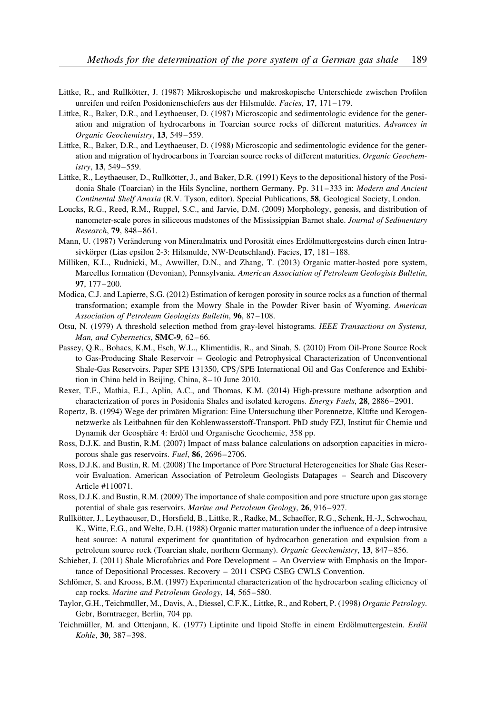- Littke, R., and Rullkötter, J. (1987) Mikroskopische und makroskopische Unterschiede zwischen Profilen unreifen und reifen Posidonienschiefers aus der Hilsmulde. Facies, 17, 171-179.
- Littke, R., Baker, D.R., and Leythaeuser, D. (1987) Microscopic and sedimentologic evidence for the generation and migration of hydrocarbons in Toarcian source rocks of different maturities. Advances in Organic Geochemistry, 13, 549–559.
- Littke, R., Baker, D.R., and Leythaeuser, D. (1988) Microscopic and sedimentologic evidence for the generation and migration of hydrocarbons in Toarcian source rocks of different maturities. Organic Geochemistry, 13, 549–559.
- Littke, R., Leythaeuser, D., Rullkötter, J., and Baker, D.R. (1991) Keys to the depositional history of the Posidonia Shale (Toarcian) in the Hils Syncline, northern Germany. Pp. 311–333 in: Modern and Ancient Continental Shelf Anoxia (R.V. Tyson, editor). Special Publications, 58, Geological Society, London.
- Loucks, R.G., Reed, R.M., Ruppel, S.C., and Jarvie, D.M. (2009) Morphology, genesis, and distribution of nanometer-scale pores in siliceous mudstones of the Mississippian Barnet shale. Journal of Sedimentary Research, 79, 848–861.
- Mann, U. (1987) Veränderung von Mineralmatrix und Porosität eines Erdölmuttergesteins durch einen Intrusivkörper (Lias epsilon 2-3: Hilsmulde, NW-Deutschland). Facies, 17, 181–188.
- Milliken, K.L., Rudnicki, M., Awwiller, D.N., and Zhang, T. (2013) Organic matter-hosted pore system, Marcellus formation (Devonian), Pennsylvania. American Association of Petroleum Geologists Bulletin, 97, 177–200.
- Modica, C.J. and Lapierre, S.G. (2012) Estimation of kerogen porosity in source rocks as a function of thermal transformation; example from the Mowry Shale in the Powder River basin of Wyoming. American Association of Petroleum Geologists Bulletin, 96, 87–108.
- Otsu, N. (1979) A threshold selection method from gray-level histograms. IEEE Transactions on Systems, Man, and Cybernetics, SMC-9, 62-66.
- Passey, Q.R., Bohacs, K.M., Esch, W.L., Klimentidis, R., and Sinah, S. (2010) From Oil-Prone Source Rock to Gas-Producing Shale Reservoir – Geologic and Petrophysical Characterization of Unconventional Shale-Gas Reservoirs. Paper SPE 131350, CPS/SPE International Oil and Gas Conference and Exhibition in China held in Beijing, China, 8–10 June 2010.
- Rexer, T.F., Mathia, E.J., Aplin, A.C., and Thomas, K.M. (2014) High-pressure methane adsorption and characterization of pores in Posidonia Shales and isolated kerogens. Energy Fuels, 28, 2886–2901.
- Ropertz, B. (1994) Wege der primären Migration: Eine Untersuchung über Porennetze, Klüfte und Kerogennetzwerke als Leitbahnen für den Kohlenwasserstoff-Transport. PhD study FZJ, Institut für Chemie und Dynamik der Geosphäre 4: Erdöl und Organische Geochemie, 358 pp.
- Ross, D.J.K. and Bustin, R.M. (2007) Impact of mass balance calculations on adsorption capacities in microporous shale gas reservoirs. Fuel, 86, 2696–2706.
- Ross, D.J.K. and Bustin, R. M. (2008) The Importance of Pore Structural Heterogeneities for Shale Gas Reservoir Evaluation. American Association of Petroleum Geologists Datapages – Search and Discovery Article #110071.
- Ross, D.J.K. and Bustin, R.M. (2009) The importance of shale composition and pore structure upon gas storage potential of shale gas reservoirs. Marine and Petroleum Geology, 26, 916–927.
- Rullko¨tter, J., Leythaeuser, D., Horsfield, B., Littke, R., Radke, M., Schaeffer, R.G., Schenk, H.-J., Schwochau, K., Witte, E.G., and Welte, D.H. (1988) Organic matter maturation under the influence of a deep intrusive heat source: A natural experiment for quantitation of hydrocarbon generation and expulsion from a petroleum source rock (Toarcian shale, northern Germany). Organic Geochemistry, 13, 847–856.
- Schieber, J. (2011) Shale Microfabrics and Pore Development An Overview with Emphasis on the Importance of Depositional Processes. Recovery – 2011 CSPG CSEG CWLS Convention.
- Schlömer, S. and Krooss, B.M. (1997) Experimental characterization of the hydrocarbon sealing efficiency of cap rocks. Marine and Petroleum Geology, 14, 565–580.
- Taylor, G.H., Teichmüller, M., Davis, A., Diessel, C.F.K., Littke, R., and Robert, P. (1998) Organic Petrology. Gebr, Borntraeger, Berlin, 704 pp.
- Teichmüller, M. and Ottenjann, K. (1977) Liptinite und lipoid Stoffe in einem Erdölmuttergestein. Erdöl Kohle, 30, 387–398.